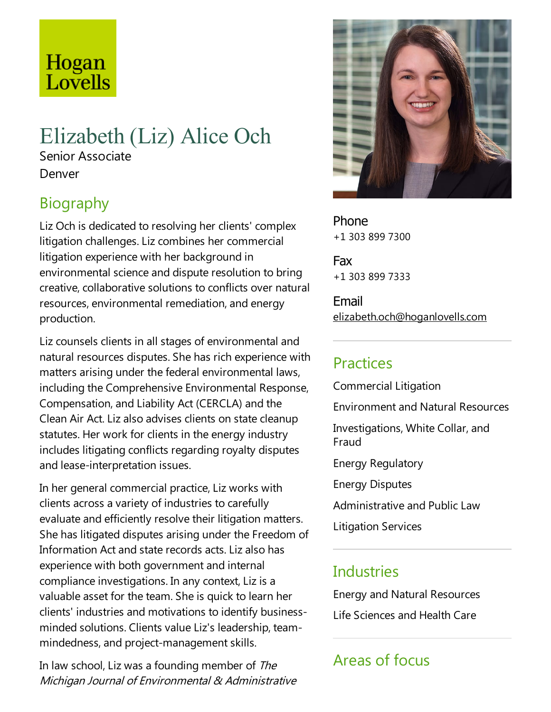# Hogan Lovells

# Elizabeth (Liz) Alice Och

Senior Associate Denver

# Biography

Liz Och is dedicated to resolving her clients' complex litigation challenges. Liz combines her commercial litigation experience with her background in environmental science and dispute resolution to bring creative, collaborative solutions to conflicts over natural resources, environmental remediation, and energy production.

Liz counsels clients in all stages of environmental and natural resources disputes. She has rich experience with matters arising under the federal environmental laws, including the Comprehensive Environmental Response, Compensation,and Liability Act (CERCLA) and the Clean Air Act. Liz also advises clients on state cleanup statutes. Her work for clients in the energy industry includes litigating conflicts regarding royalty disputes and lease-interpretation issues.

In her general commercial practice, Liz works with clients across avariety of industries to carefully evaluate and efficiently resolve their litigation matters. She has litigated disputes arising under the Freedom of Information Act and state records acts. Liz also has experience with both government and internal compliance investigations. In any context, Liz is a valuable asset for the team. She is quick to learn her clients' industries and motivations to identify businessminded solutions. Clients value Liz's leadership, teammindedness, and project-management skills.

In law school, Liz was a founding member of The Michigan Journal of Environmental & Administrative



Phone +1 303 899 7300

Fax +1 303 899 7333

Email elizabeth.och@hoganlovells.com

## Practices

Commercial Litigation Environmentand Natural Resources Investigations, White Collar, and Fraud Energy Regulatory Energy Disputes Administrative and Public Law Litigation Services

#### **Industries**

Energy and Natural Resources Life Sciences and Health Care

## Areas of focus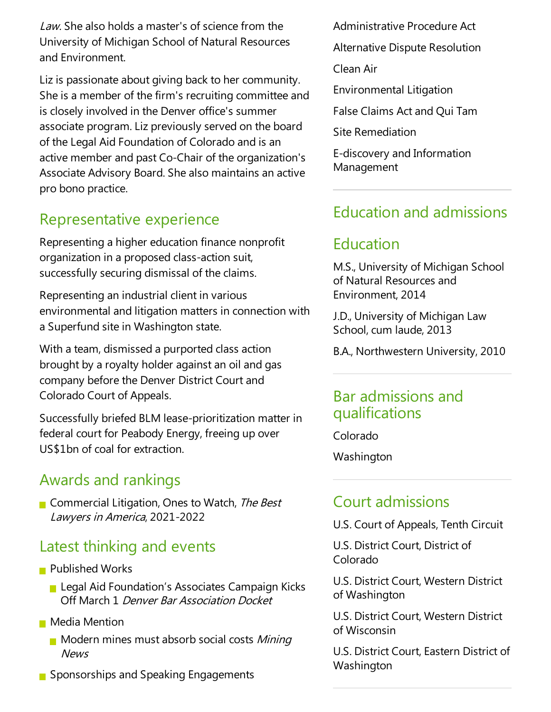Law. She also holds a master's of science from the University of Michigan School of Natural Resources and Environment.

Liz is passionate about giving back to her community. She is a member of the firm's recruiting committee and is closely involved in the Denver office's summer associate program.Liz previously served on the board of theLegal Aid Foundation of Colorado and is an active member and past Co-Chair of the organization's Associate Advisory Board. She also maintains an active pro bono practice.

## Representative experience

Representing a higher education finance nonprofit organization in a proposed class-action suit, successfully securing dismissal of the claims.

Representing an industrial client in various environmental and litigation matters in connection with a Superfund site in Washington state.

With a team, dismissed a purported class action brought by aroyalty holder againstan oil and gas company before the Denver District Court and Colorado Court of Appeals.

Successfully briefed BLM lease-prioritization matter in federal court for Peabody Energy, freeing up over US\$1bn of coal for extraction.

#### Awards and rankings

Commercial Litigation, Ones to Watch, The Best Lawyers in America, 2021-2022

## Latest thinking and events

- **Published Works** 
	- **Legal Aid Foundation's Associates Campaign Kicks** Off March 1 Denver Bar Association Docket
- **Media Mention** 
	- $\blacksquare$  Modern mines must absorb social costs *Mining* News
- Sponsorships and Speaking Engagements

Administrative Procedure Act Alternative Dispute Resolution Clean Air Environmental Litigation False Claims Act and Oui Tam

Site Remediation

E-discovery and Information Management

#### Education and admissions

#### Education

M.S., University of Michigan School of Natural Resources and Environment, 2014

J.D., University of Michigan Law School, cum laude, 2013

B.A., Northwestern University, 2010

#### Bar admissions and qualifications

Colorado

Washington

#### Court admissions

U.S. Court of Appeals, Tenth Circuit

U.S. District Court, District of Colorado

U.S. District Court, Western District of Washington

U.S. District Court, Western District of Wisconsin

U.S. District Court, Eastern District of Washington